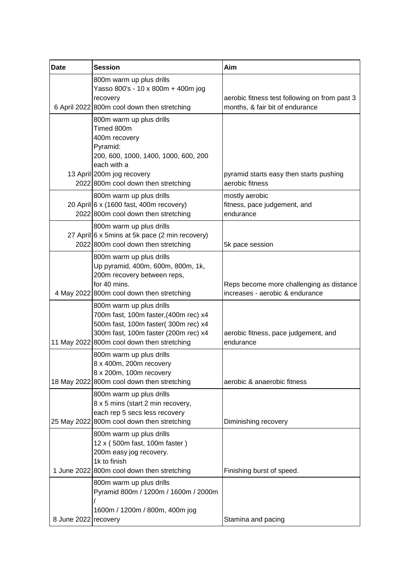| <b>Date</b>          | <b>Session</b>                                                                                                                                                                                  | Aim                                                                              |
|----------------------|-------------------------------------------------------------------------------------------------------------------------------------------------------------------------------------------------|----------------------------------------------------------------------------------|
|                      | 800m warm up plus drills<br>Yasso 800's - 10 x 800m + 400m jog<br>recovery<br>6 April 2022 800m cool down then stretching                                                                       | aerobic fitness test following on from past 3<br>months, & fair bit of endurance |
|                      | 800m warm up plus drills<br>Timed 800m<br>400m recovery<br>Pyramid:<br>200, 600, 1000, 1400, 1000, 600, 200<br>each with a<br>13 April 200m jog recovery<br>2022 800m cool down then stretching | pyramid starts easy then starts pushing<br>aerobic fitness                       |
|                      | 800m warm up plus drills<br>20 April 6 x (1600 fast, 400m recovery)<br>2022 800m cool down then stretching                                                                                      | mostly aerobic<br>fitness, pace judgement, and<br>endurance                      |
|                      | 800m warm up plus drills<br>27 April 6 x 5mins at 5k pace (2 min recovery)<br>2022 800m cool down then stretching                                                                               | 5k pace session                                                                  |
|                      | 800m warm up plus drills<br>Up pyramid, 400m, 600m, 800m, 1k,<br>200m recovery between reps,<br>for 40 mins.<br>4 May 2022 800m cool down then stretching                                       | Reps become more challenging as distance<br>increases - aerobic & endurance      |
|                      | 800m warm up plus drills<br>700m fast, 100m faster, (400m rec) x4<br>500m fast, 100m faster(300m rec) x4<br>300m fast, 100m faster (200m rec) x4<br>11 May 2022 800m cool down then stretching  | aerobic fitness, pace judgement, and<br>endurance                                |
|                      | 800m warm up plus drills<br>8 x 400m, 200m recovery<br>8 x 200m, 100m recovery<br>18 May 2022 800m cool down then stretching                                                                    | aerobic & anaerobic fitness                                                      |
|                      | 800m warm up plus drills<br>8 x 5 mins (start 2 min recovery,<br>each rep 5 secs less recovery<br>25 May 2022 800m cool down then stretching                                                    | Diminishing recovery                                                             |
|                      | 800m warm up plus drills<br>12 x (500m fast, 100m faster)<br>200m easy jog recovery.<br>1k to finish<br>1 June 2022 800m cool down then stretching                                              | Finishing burst of speed.                                                        |
| 8 June 2022 recovery | 800m warm up plus drills<br>Pyramid 800m / 1200m / 1600m / 2000m<br>1600m / 1200m / 800m, 400m jog                                                                                              | Stamina and pacing                                                               |